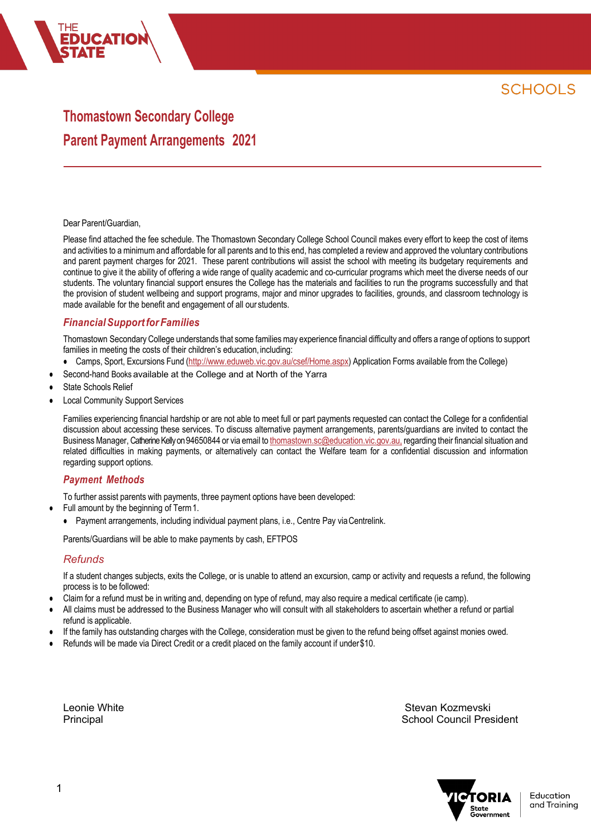# **Thomastown Secondary College Parent Payment Arrangements 2021**

#### Dear Parent/Guardian,

**CATIO** 

Please find attached the fee schedule. The Thomastown Secondary College School Council makes every effort to keep the cost of items and activities to a minimum and affordable for all parents and to this end, has completed a review and approved the voluntary contributions and parent payment charges for 2021. These parent contributions will assist the school with meeting its budgetary requirements and continue to give it the ability of offering a wide range of quality academic and co-curricular programs which meet the diverse needs of our students. The voluntary financial support ensures the College has the materials and facilities to run the programs successfully and that the provision of student wellbeing and support programs, major and minor upgrades to facilities, grounds, and classroom technology is made available for the benefit and engagement of all our students.

## *FinancialSupportforFamilies*

Thomastown Secondary College understands that some families may experience financial difficulty and offers a range of options to support families in meeting the costs of their children's education, including:

- Camps, Sport, Excursions Fund (http://www.eduweb.vic.gov.au/csef/Home.aspx) Application Forms available from the College)
- Second-hand Books available at the College and at North of the Yarra
- State Schools Relief
- **Local Community Support Services**

Families experiencing financial hardship or are not able to meet full or part payments requested can contact the College for a confidential discussion about accessing these services. To discuss alternative payment arrangements, parents/guardians are invited to contact the Business Manager, Catherine Kelly on 94650844 or via email to thomastown.sc@education.vic.gov.au, regarding their financial situation and related difficulties in making payments, or alternatively can contact the Welfare team for a confidential discussion and information regarding support options.

### *Payment Methods*

To further assist parents with payments, three payment options have been developed:

- Full amount by the beginning of Term 1.
	- Payment arrangements, including individual payment plans, i.e., Centre Pay viaCentrelink.

Parents/Guardians will be able to make payments by cash, EFTPOS

#### *Refunds*

If a student changes subjects, exits the College, or is unable to attend an excursion, camp or activity and requests a refund, the following process is to be followed:

- Claim for a refund must be in writing and, depending on type of refund, may also require a medical certificate (ie camp).
- All claims must be addressed to the Business Manager who will consult with all stakeholders to ascertain whether a refund or partial refund is applicable.
- If the family has outstanding charges with the College, consideration must be given to the refund being offset against monies owed.
- Refunds will be made via Direct Credit or a credit placed on the family account if under \$10.

Leonie White Stevan Kozmevski i Stevan Kozmevski kontrol (Stevan Kozmevski kontrol (Stevan Kozmevski kontrol ( Principal School Council President

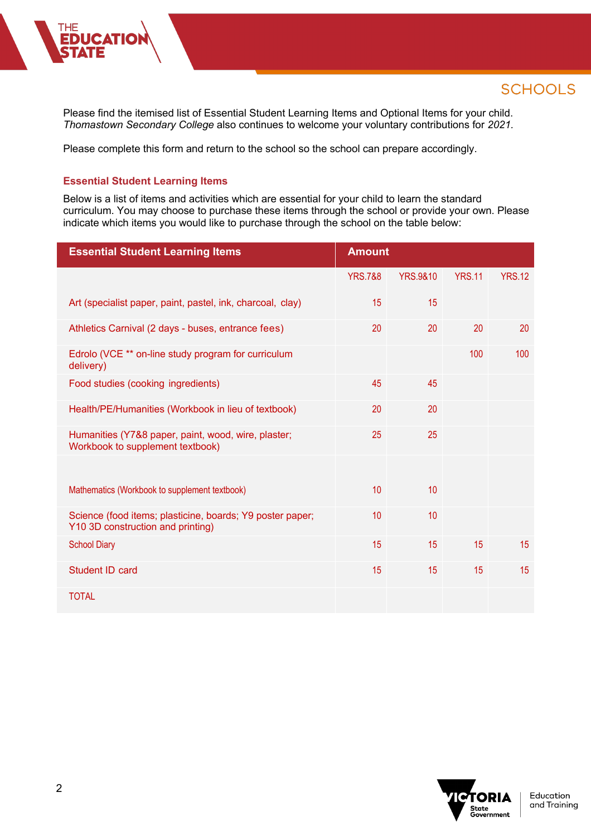Please find the itemised list of Essential Student Learning Items and Optional Items for your child. *Thomastown Secondary College* also continues to welcome your voluntary contributions for *2021.*

Please complete this form and return to the school so the school can prepare accordingly.

### **Essential Student Learning Items**

**CATIO** 

Below is a list of items and activities which are essential for your child to learn the standard curriculum. You may choose to purchase these items through the school or provide your own. Please indicate which items you would like to purchase through the school on the table below:

| <b>Essential Student Learning Items</b>                                                        | <b>Amount</b>      |                     |               |               |
|------------------------------------------------------------------------------------------------|--------------------|---------------------|---------------|---------------|
|                                                                                                | <b>YRS.7&amp;8</b> | <b>YRS.9&amp;10</b> | <b>YRS.11</b> | <b>YRS.12</b> |
| Art (specialist paper, paint, pastel, ink, charcoal, clay)                                     | 15                 | 15                  |               |               |
| Athletics Carnival (2 days - buses, entrance fees)                                             | 20                 | 20                  | 20            | 20            |
| Edrolo (VCE ** on-line study program for curriculum<br>delivery)                               |                    |                     | 100           | 100           |
| Food studies (cooking ingredients)                                                             | 45                 | 45                  |               |               |
| Health/PE/Humanities (Workbook in lieu of textbook)                                            | 20                 | 20                  |               |               |
| Humanities (Y7&8 paper, paint, wood, wire, plaster;<br>Workbook to supplement textbook)        | 25                 | 25                  |               |               |
|                                                                                                |                    |                     |               |               |
| Mathematics (Workbook to supplement textbook)                                                  | 10                 | 10                  |               |               |
| Science (food items; plasticine, boards; Y9 poster paper;<br>Y10 3D construction and printing) | 10                 | 10                  |               |               |
| <b>School Diary</b>                                                                            | 15                 | 15                  | 15            | 15            |
| Student ID card                                                                                | 15                 | 15                  | 15            | 15            |
| <b>TOTAL</b>                                                                                   |                    |                     |               |               |

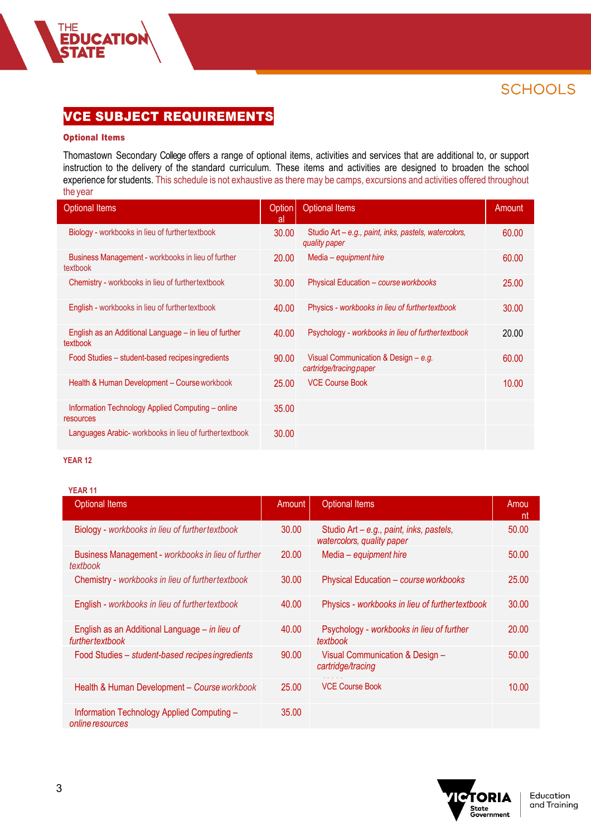# VCE SUBJECT REQUIREMENTS

### Optional Items

**FEDUCATION<br>STATE** 

Thomastown Secondary College offers a range of optional items, activities and services that are additional to, or support instruction to the delivery of the standard curriculum. These items and activities are designed to broaden the school experience for students. This schedule is not exhaustive as there may be camps, excursions and activities offered throughout the year

| <b>Optional Items</b>                                              | Option<br>al | <b>Optional Items</b>                                                  | Amount |
|--------------------------------------------------------------------|--------------|------------------------------------------------------------------------|--------|
| Biology - workbooks in lieu of further textbook                    | 30.00        | Studio Art – e.g., paint, inks, pastels, watercolors,<br>quality paper | 60.00  |
| Business Management - workbooks in lieu of further<br>textbook     | 20.00        | Media - equipment hire                                                 | 60.00  |
| Chemistry - workbooks in lieu of further textbook                  | 30.00        | Physical Education - course workbooks                                  | 25.00  |
| English - workbooks in lieu of further textbook                    | 40.00        | Physics - workbooks in lieu of furthertextbook                         | 30.00  |
| English as an Additional Language – in lieu of further<br>textbook | 40.00        | Psychology - workbooks in lieu of further textbook                     | 20.00  |
| Food Studies - student-based recipesingredients                    | 90.00        | Visual Communication & Design – $e.g.$<br>cartridge/tracing paper      | 60.00  |
| Health & Human Development - Course workbook                       | 25.00        | <b>VCE Course Book</b>                                                 | 10.00  |
| Information Technology Applied Computing - online<br>resources     | 35.00        |                                                                        |        |
| Languages Arabic- workbooks in lieu of further textbook            | 30.00        |                                                                        |        |

#### **YEAR 12**

| <b>Optional Items</b>                                              | Amount | <b>Optional Items</b>                                                  | Amou<br>nt |
|--------------------------------------------------------------------|--------|------------------------------------------------------------------------|------------|
| Biology - workbooks in lieu of further textbook                    | 30.00  | Studio Art - e.g., paint, inks, pastels,<br>watercolors, quality paper | 50.00      |
| Business Management - workbooks in lieu of further<br>textbook     | 20.00  | Media - equipment hire                                                 | 50.00      |
| Chemistry - workbooks in lieu of further textbook                  | 30.00  | Physical Education - course workbooks                                  | 25.00      |
| English - workbooks in lieu of further textbook                    | 40.00  | Physics - workbooks in lieu of further textbook                        | 30.00      |
| English as an Additional Language - in lieu of<br>further textbook | 40.00  | Psychology - workbooks in lieu of further<br>textbook                  | 20.00      |
| Food Studies - student-based recipes ingredients                   | 90.00  | Visual Communication & Design -<br>cartridge/tracing                   | 50.00      |
| Health & Human Development - Course workbook                       | 25.00  | <b>VCE Course Book</b>                                                 | 10.00      |
| Information Technology Applied Computing -<br>online resources     | 35.00  |                                                                        |            |